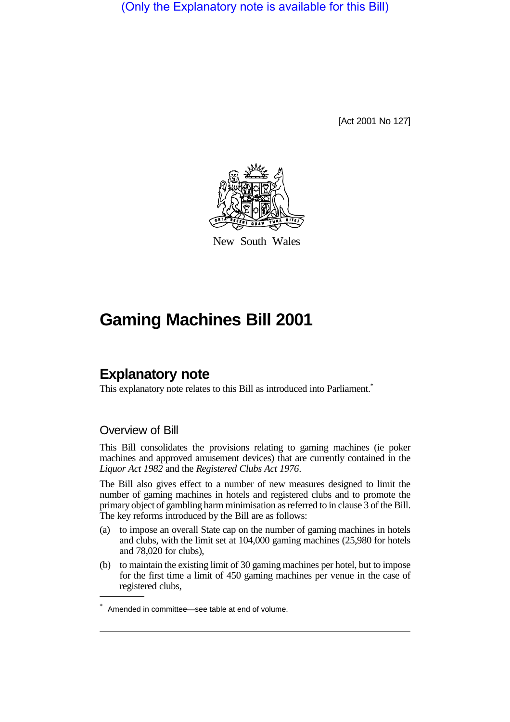(Only the Explanatory note is available for this Bill)

[Act 2001 No 127]



New South Wales

# **Gaming Machines Bill 2001**

# **Explanatory note**

This explanatory note relates to this Bill as introduced into Parliament.<sup>\*</sup>

#### Overview of Bill

This Bill consolidates the provisions relating to gaming machines (ie poker machines and approved amusement devices) that are currently contained in the *Liquor Act 1982* and the *Registered Clubs Act 1976*.

The Bill also gives effect to a number of new measures designed to limit the number of gaming machines in hotels and registered clubs and to promote the primary object of gambling harm minimisation as referred to in clause 3 of the Bill. The key reforms introduced by the Bill are as follows:

- (a) to impose an overall State cap on the number of gaming machines in hotels and clubs, with the limit set at 104,000 gaming machines (25,980 for hotels and 78,020 for clubs),
- (b) to maintain the existing limit of 30 gaming machines per hotel, but to impose for the first time a limit of 450 gaming machines per venue in the case of registered clubs,

<sup>\*</sup> Amended in committee—see table at end of volume.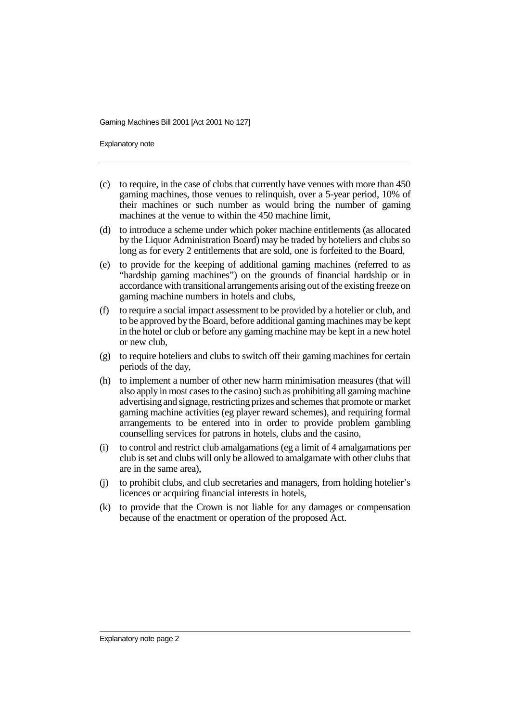Explanatory note

- (c) to require, in the case of clubs that currently have venues with more than 450 gaming machines, those venues to relinquish, over a 5-year period, 10% of their machines or such number as would bring the number of gaming machines at the venue to within the 450 machine limit.
- (d) to introduce a scheme under which poker machine entitlements (as allocated by the Liquor Administration Board) may be traded by hoteliers and clubs so long as for every 2 entitlements that are sold, one is forfeited to the Board,
- (e) to provide for the keeping of additional gaming machines (referred to as "hardship gaming machines") on the grounds of financial hardship or in accordance with transitional arrangements arising out of the existing freeze on gaming machine numbers in hotels and clubs,
- (f) to require a social impact assessment to be provided by a hotelier or club, and to be approved by the Board, before additional gaming machines may be kept in the hotel or club or before any gaming machine may be kept in a new hotel or new club,
- (g) to require hoteliers and clubs to switch off their gaming machines for certain periods of the day,
- (h) to implement a number of other new harm minimisation measures (that will also apply in most cases to the casino) such as prohibiting all gaming machine advertising and signage, restricting prizes and schemes that promote or market gaming machine activities (eg player reward schemes), and requiring formal arrangements to be entered into in order to provide problem gambling counselling services for patrons in hotels, clubs and the casino,
- (i) to control and restrict club amalgamations (eg a limit of 4 amalgamations per club is set and clubs will only be allowed to amalgamate with other clubs that are in the same area),
- (j) to prohibit clubs, and club secretaries and managers, from holding hotelier's licences or acquiring financial interests in hotels,
- (k) to provide that the Crown is not liable for any damages or compensation because of the enactment or operation of the proposed Act.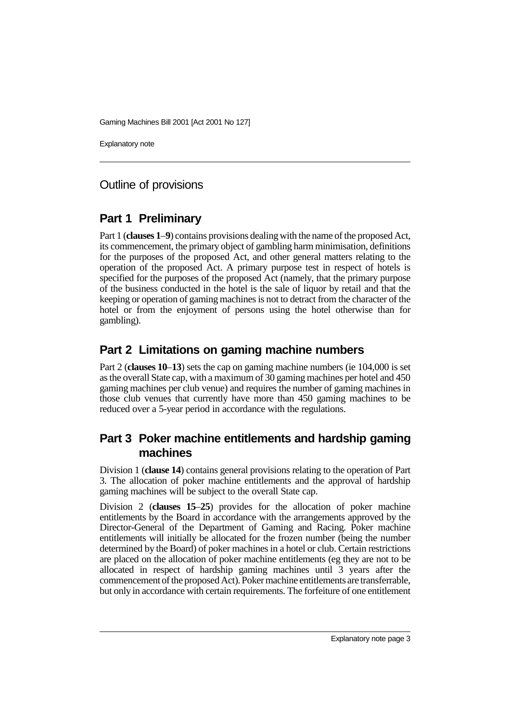Explanatory note

#### Outline of provisions

## **Part 1 Preliminary**

Part 1 (**clauses 1**–**9**) contains provisions dealing with the name of the proposed Act, its commencement, the primary object of gambling harm minimisation, definitions for the purposes of the proposed Act, and other general matters relating to the operation of the proposed Act. A primary purpose test in respect of hotels is specified for the purposes of the proposed Act (namely, that the primary purpose of the business conducted in the hotel is the sale of liquor by retail and that the keeping or operation of gaming machines is not to detract from the character of the hotel or from the enjoyment of persons using the hotel otherwise than for gambling).

## **Part 2 Limitations on gaming machine numbers**

Part 2 (**clauses 10**–**13**) sets the cap on gaming machine numbers (ie 104,000 is set as the overall State cap, with a maximum of 30 gaming machines per hotel and 450 gaming machines per club venue) and requires the number of gaming machines in those club venues that currently have more than 450 gaming machines to be reduced over a 5-year period in accordance with the regulations.

## **Part 3 Poker machine entitlements and hardship gaming machines**

Division 1 (**clause 14**) contains general provisions relating to the operation of Part 3. The allocation of poker machine entitlements and the approval of hardship gaming machines will be subject to the overall State cap.

Division 2 (**clauses 15**–**25**) provides for the allocation of poker machine entitlements by the Board in accordance with the arrangements approved by the Director-General of the Department of Gaming and Racing. Poker machine entitlements will initially be allocated for the frozen number (being the number determined by the Board) of poker machines in a hotel or club. Certain restrictions are placed on the allocation of poker machine entitlements (eg they are not to be allocated in respect of hardship gaming machines until 3 years after the commencement of the proposed Act). Poker machine entitlements are transferrable, but only in accordance with certain requirements. The forfeiture of one entitlement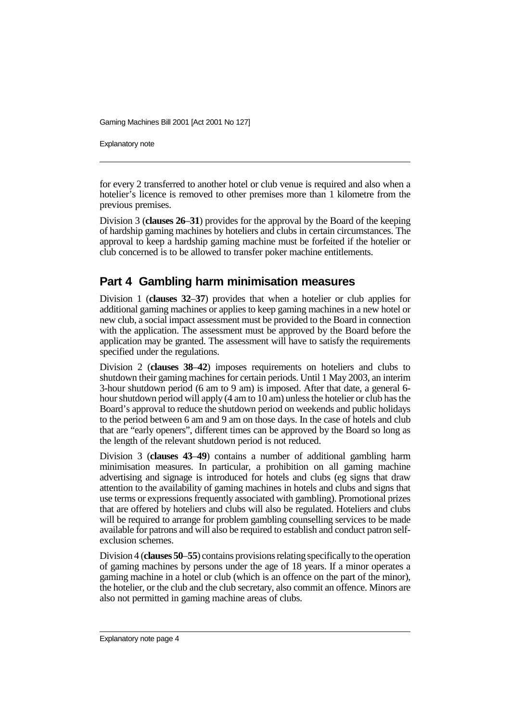Explanatory note

for every 2 transferred to another hotel or club venue is required and also when a hotelier's licence is removed to other premises more than 1 kilometre from the previous premises.

Division 3 (**clauses 26**–**31**) provides for the approval by the Board of the keeping of hardship gaming machines by hoteliers and clubs in certain circumstances. The approval to keep a hardship gaming machine must be forfeited if the hotelier or club concerned is to be allowed to transfer poker machine entitlements.

## **Part 4 Gambling harm minimisation measures**

Division 1 (**clauses 32**–**37**) provides that when a hotelier or club applies for additional gaming machines or applies to keep gaming machines in a new hotel or new club, a social impact assessment must be provided to the Board in connection with the application. The assessment must be approved by the Board before the application may be granted. The assessment will have to satisfy the requirements specified under the regulations.

Division 2 (**clauses 38**–**42**) imposes requirements on hoteliers and clubs to shutdown their gaming machines for certain periods. Until 1 May 2003, an interim 3-hour shutdown period (6 am to 9 am) is imposed. After that date, a general 6 hour shutdown period will apply (4 am to 10 am) unless the hotelier or club has the Board's approval to reduce the shutdown period on weekends and public holidays to the period between 6 am and 9 am on those days. In the case of hotels and club that are "early openers", different times can be approved by the Board so long as the length of the relevant shutdown period is not reduced.

Division 3 (**clauses 43**–**49**) contains a number of additional gambling harm minimisation measures. In particular, a prohibition on all gaming machine advertising and signage is introduced for hotels and clubs (eg signs that draw attention to the availability of gaming machines in hotels and clubs and signs that use terms or expressions frequently associated with gambling). Promotional prizes that are offered by hoteliers and clubs will also be regulated. Hoteliers and clubs will be required to arrange for problem gambling counselling services to be made available for patrons and will also be required to establish and conduct patron selfexclusion schemes.

Division 4 (**clauses 50**–**55**) contains provisions relating specifically to the operation of gaming machines by persons under the age of 18 years. If a minor operates a gaming machine in a hotel or club (which is an offence on the part of the minor), the hotelier, or the club and the club secretary, also commit an offence. Minors are also not permitted in gaming machine areas of clubs.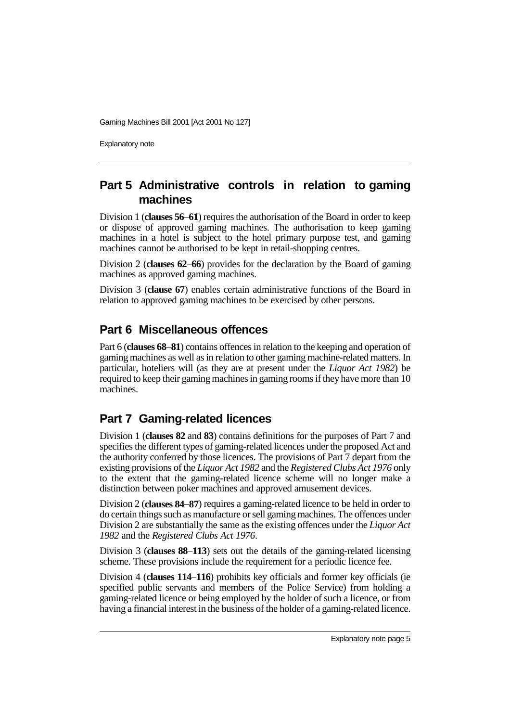Explanatory note

## **Part 5 Administrative controls in relation to gaming machines**

Division 1 (**clauses 56**–**61**) requires the authorisation of the Board in order to keep or dispose of approved gaming machines. The authorisation to keep gaming machines in a hotel is subject to the hotel primary purpose test, and gaming machines cannot be authorised to be kept in retail-shopping centres.

Division 2 (**clauses 62**–**66**) provides for the declaration by the Board of gaming machines as approved gaming machines.

Division 3 (**clause 67**) enables certain administrative functions of the Board in relation to approved gaming machines to be exercised by other persons.

## **Part 6 Miscellaneous offences**

Part 6 (**clauses 68**–**81**) contains offences in relation to the keeping and operation of gaming machines as well as in relation to other gaming machine-related matters. In particular, hoteliers will (as they are at present under the *Liquor Act 1982*) be required to keep their gaming machines in gaming rooms if they have more than 10 machines.

## **Part 7 Gaming-related licences**

Division 1 (**clauses 82** and **83**) contains definitions for the purposes of Part 7 and specifies the different types of gaming-related licences under the proposed Act and the authority conferred by those licences. The provisions of Part 7 depart from the existing provisions of the *Liquor Act 1982* and the *Registered Clubs Act 1976* only to the extent that the gaming-related licence scheme will no longer make a distinction between poker machines and approved amusement devices.

Division 2 (**clauses 84**–**87**) requires a gaming-related licence to be held in order to do certain things such as manufacture or sell gaming machines. The offences under Division 2 are substantially the same as the existing offences under the *Liquor Act 1982* and the *Registered Clubs Act 1976*.

Division 3 (**clauses 88**–**113**) sets out the details of the gaming-related licensing scheme. These provisions include the requirement for a periodic licence fee.

Division 4 (**clauses 114**–**116**) prohibits key officials and former key officials (ie specified public servants and members of the Police Service) from holding a gaming-related licence or being employed by the holder of such a licence, or from having a financial interest in the business of the holder of a gaming-related licence.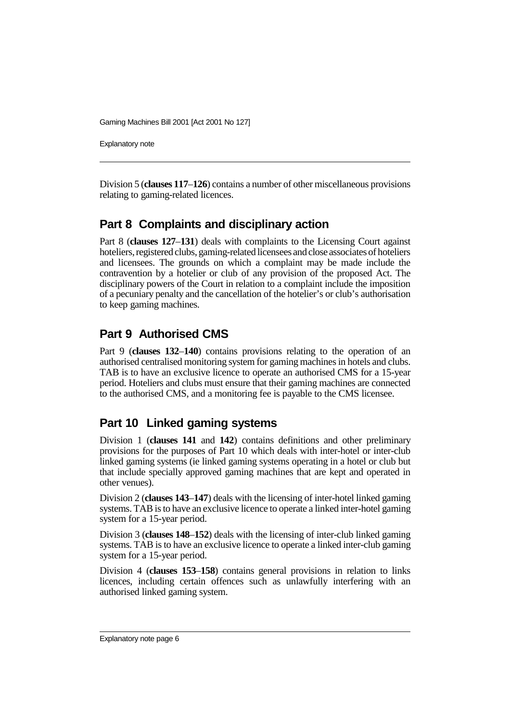Explanatory note

Division 5 (**clauses 117**–**126**) contains a number of other miscellaneous provisions relating to gaming-related licences.

## **Part 8 Complaints and disciplinary action**

Part 8 (**clauses 127**–**131**) deals with complaints to the Licensing Court against hoteliers, registered clubs, gaming-related licensees and close associates of hoteliers and licensees. The grounds on which a complaint may be made include the contravention by a hotelier or club of any provision of the proposed Act. The disciplinary powers of the Court in relation to a complaint include the imposition of a pecuniary penalty and the cancellation of the hotelier's or club's authorisation to keep gaming machines.

## **Part 9 Authorised CMS**

Part 9 (**clauses 132**–**140**) contains provisions relating to the operation of an authorised centralised monitoring system for gaming machines in hotels and clubs. TAB is to have an exclusive licence to operate an authorised CMS for a 15-year period. Hoteliers and clubs must ensure that their gaming machines are connected to the authorised CMS, and a monitoring fee is payable to the CMS licensee.

#### **Part 10 Linked gaming systems**

Division 1 (**clauses 141** and **142**) contains definitions and other preliminary provisions for the purposes of Part 10 which deals with inter-hotel or inter-club linked gaming systems (ie linked gaming systems operating in a hotel or club but that include specially approved gaming machines that are kept and operated in other venues).

Division 2 (**clauses 143**–**147**) deals with the licensing of inter-hotel linked gaming systems. TAB is to have an exclusive licence to operate a linked inter-hotel gaming system for a 15-year period.

Division 3 (**clauses 148**–**152**) deals with the licensing of inter-club linked gaming systems. TAB is to have an exclusive licence to operate a linked inter-club gaming system for a 15-year period.

Division 4 (**clauses 153**–**158**) contains general provisions in relation to links licences, including certain offences such as unlawfully interfering with an authorised linked gaming system.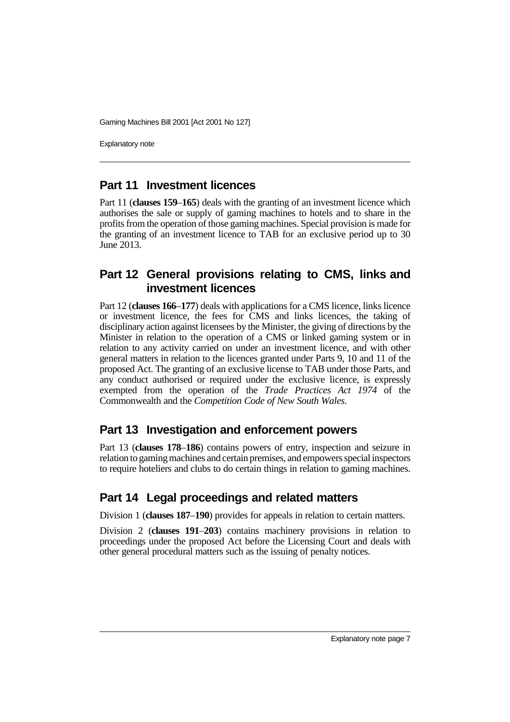Explanatory note

#### **Part 11 Investment licences**

Part 11 (**clauses 159**–**165**) deals with the granting of an investment licence which authorises the sale or supply of gaming machines to hotels and to share in the profits from the operation of those gaming machines. Special provision is made for the granting of an investment licence to TAB for an exclusive period up to 30 June 2013.

#### **Part 12 General provisions relating to CMS, links and investment licences**

Part 12 (**clauses 166**–**177**) deals with applications for a CMS licence, links licence or investment licence, the fees for CMS and links licences, the taking of disciplinary action against licensees by the Minister, the giving of directions by the Minister in relation to the operation of a CMS or linked gaming system or in relation to any activity carried on under an investment licence, and with other general matters in relation to the licences granted under Parts 9, 10 and 11 of the proposed Act. The granting of an exclusive license to TAB under those Parts, and any conduct authorised or required under the exclusive licence, is expressly exempted from the operation of the *Trade Practices Act 1974* of the Commonwealth and the *Competition Code of New South Wales*.

#### **Part 13 Investigation and enforcement powers**

Part 13 (**clauses 178**–**186**) contains powers of entry, inspection and seizure in relation to gaming machines and certain premises, and empowers special inspectors to require hoteliers and clubs to do certain things in relation to gaming machines.

#### **Part 14 Legal proceedings and related matters**

Division 1 (**clauses 187**–**190**) provides for appeals in relation to certain matters.

Division 2 (**clauses 191**–**203**) contains machinery provisions in relation to proceedings under the proposed Act before the Licensing Court and deals with other general procedural matters such as the issuing of penalty notices.